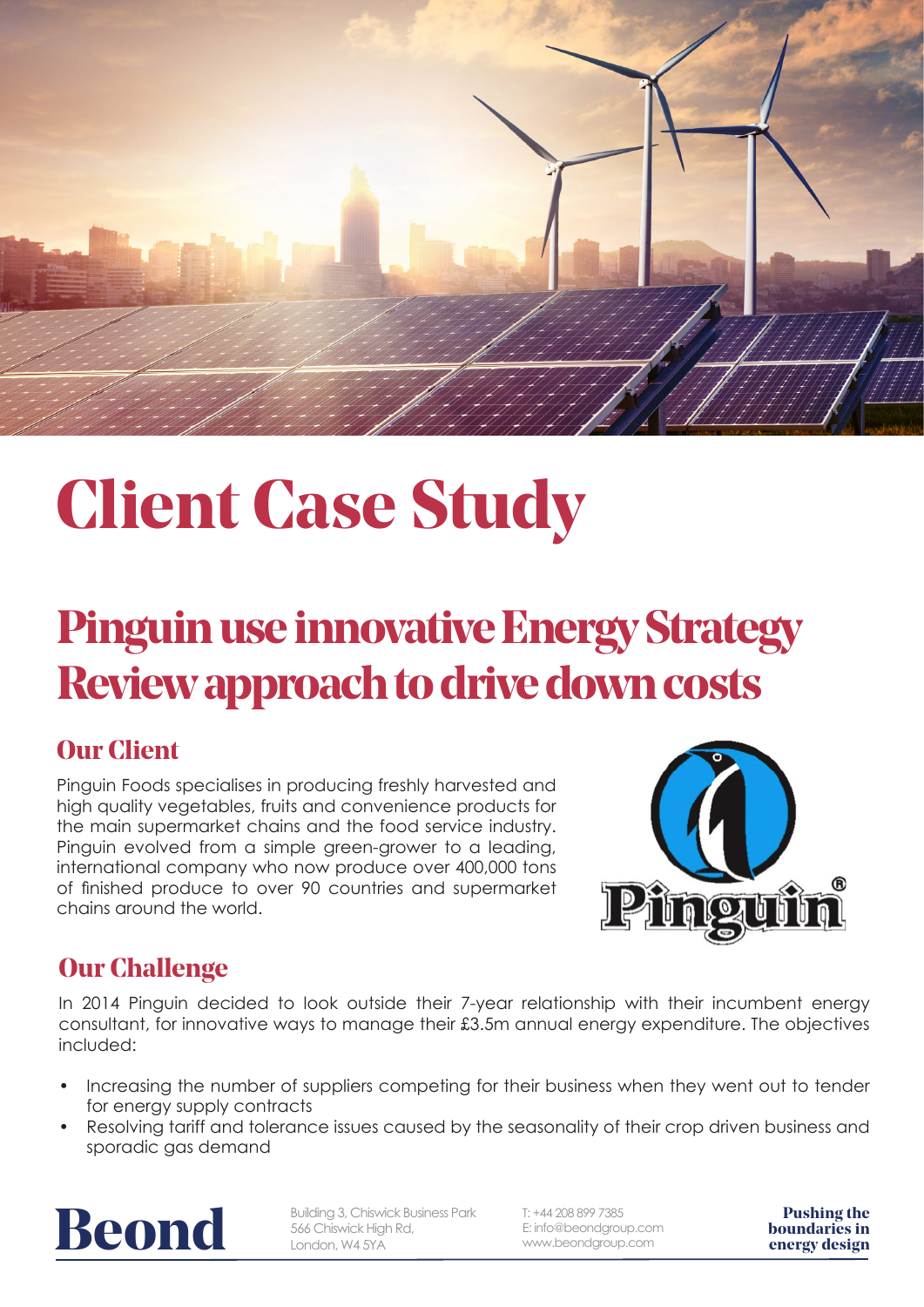

# **Client Case Study**

## **Pinguin use innovative Energy Strategy Review approach to drive down costs**

#### **Our Client**

Pinguin Foods specialises in producing freshly harvested and high quality vegetables, fruits and convenience products for the main supermarket chains and the food service industry. Pinguin evolved from a simple green-grower to a leading, international company who now produce over 400,000 tons of finished produce to over 90 countries and supermarket chains around the world.



#### **Our Challenge**

In 2014 Pinguin decided to look outside their 7-year relationship with their incumbent energy consultant, for innovative ways to manage their £3.5m annual energy expenditure. The objectives included:

- Increasing the number of suppliers competing for their business when they went out to tender for energy supply contracts
- Resolving tariff and tolerance issues caused by the seasonality of their crop driven business and sporadic gas demand



**building 3, Chiswick Business Park** Fight of Building 3, Chiswick Business Park E: info@beondgroup.com **boundaries in**<br>
London, W4 5YA WWW.beondgroup.com **energy design** Building 3, Chiswick Business Park 566 Chiswick High Rd, London, W4 5YA

T: +44 208 899 7385 E: info@beondgroup.com www.beondgroup.com

**Pushing the**